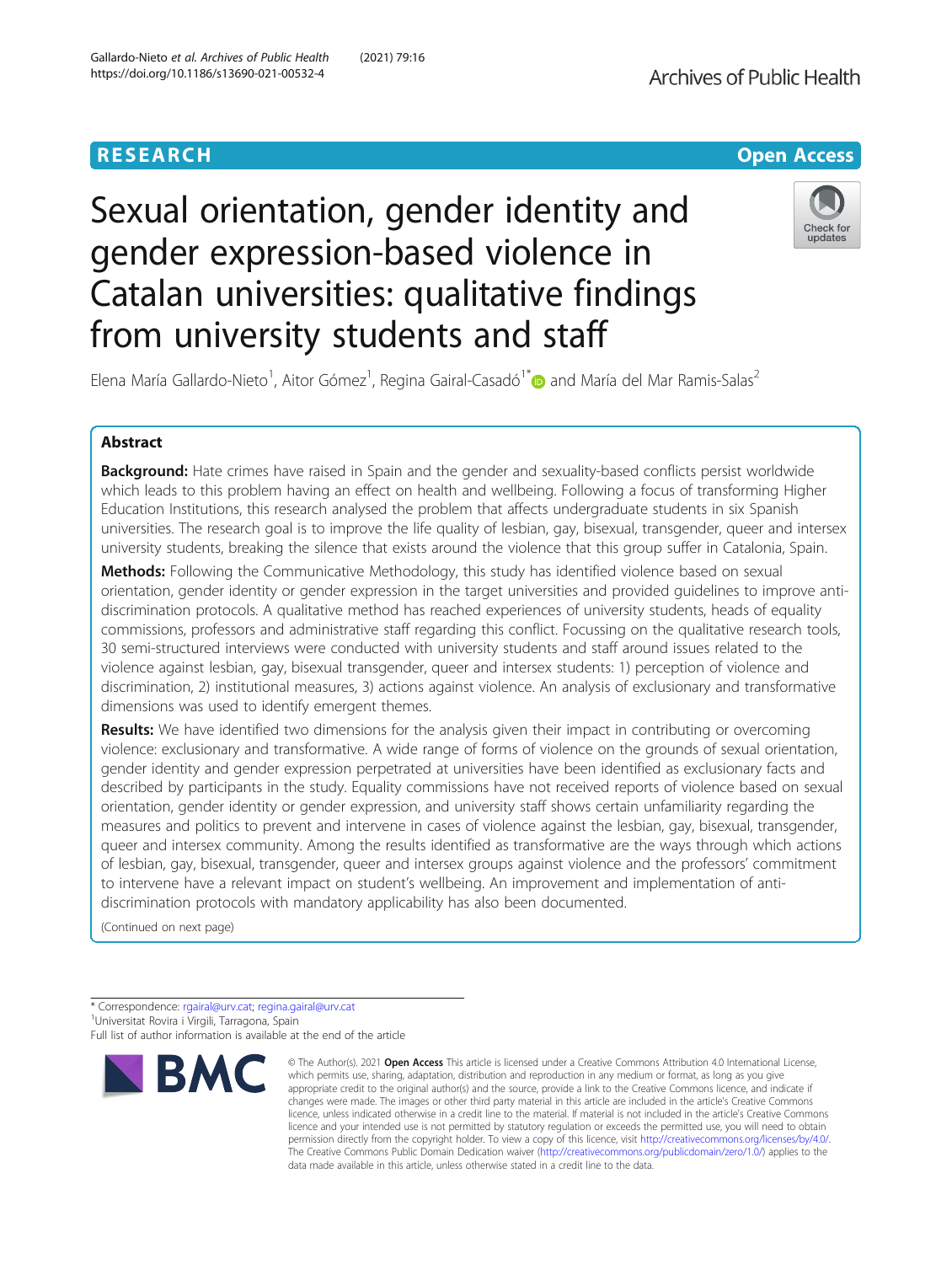## **RESEARCH CHE Open Access**

# Sexual orientation, gender identity and gender expression-based violence in Catalan universities: qualitative findings from university students and staff



Elena María Gallardo-Nieto<sup>1</sup>, Aitor Gómez<sup>1</sup>, Regina Gairal-Casadó<sup>1\*</sup> and María del Mar Ramis-Salas<sup>2</sup>

### Abstract

**Background:** Hate crimes have raised in Spain and the gender and sexuality-based conflicts persist worldwide which leads to this problem having an effect on health and wellbeing. Following a focus of transforming Higher Education Institutions, this research analysed the problem that affects undergraduate students in six Spanish universities. The research goal is to improve the life quality of lesbian, gay, bisexual, transgender, queer and intersex university students, breaking the silence that exists around the violence that this group suffer in Catalonia, Spain.

**Methods:** Following the Communicative Methodology, this study has identified violence based on sexual orientation, gender identity or gender expression in the target universities and provided guidelines to improve antidiscrimination protocols. A qualitative method has reached experiences of university students, heads of equality commissions, professors and administrative staff regarding this conflict. Focussing on the qualitative research tools, 30 semi-structured interviews were conducted with university students and staff around issues related to the violence against lesbian, gay, bisexual transgender, queer and intersex students: 1) perception of violence and discrimination, 2) institutional measures, 3) actions against violence. An analysis of exclusionary and transformative dimensions was used to identify emergent themes.

Results: We have identified two dimensions for the analysis given their impact in contributing or overcoming violence: exclusionary and transformative. A wide range of forms of violence on the grounds of sexual orientation, gender identity and gender expression perpetrated at universities have been identified as exclusionary facts and described by participants in the study. Equality commissions have not received reports of violence based on sexual orientation, gender identity or gender expression, and university staff shows certain unfamiliarity regarding the measures and politics to prevent and intervene in cases of violence against the lesbian, gay, bisexual, transgender, queer and intersex community. Among the results identified as transformative are the ways through which actions of lesbian, gay, bisexual, transgender, queer and intersex groups against violence and the professors' commitment to intervene have a relevant impact on student's wellbeing. An improvement and implementation of antidiscrimination protocols with mandatory applicability has also been documented.

(Continued on next page)

<sup>\*</sup> Correspondence: [rgairal@urv.cat;](mailto:rgairal@urv.cat) [regina.gairal@urv.cat](mailto:regina.gairal@urv.cat) <sup>1</sup> <sup>1</sup>Universitat Rovira i Virgili, Tarragona, Spain Full list of author information is available at the end of the article



<sup>©</sup> The Author(s), 2021 **Open Access** This article is licensed under a Creative Commons Attribution 4.0 International License, which permits use, sharing, adaptation, distribution and reproduction in any medium or format, as long as you give appropriate credit to the original author(s) and the source, provide a link to the Creative Commons licence, and indicate if changes were made. The images or other third party material in this article are included in the article's Creative Commons licence, unless indicated otherwise in a credit line to the material. If material is not included in the article's Creative Commons licence and your intended use is not permitted by statutory regulation or exceeds the permitted use, you will need to obtain permission directly from the copyright holder. To view a copy of this licence, visit [http://creativecommons.org/licenses/by/4.0/.](http://creativecommons.org/licenses/by/4.0/) The Creative Commons Public Domain Dedication waiver [\(http://creativecommons.org/publicdomain/zero/1.0/](http://creativecommons.org/publicdomain/zero/1.0/)) applies to the data made available in this article, unless otherwise stated in a credit line to the data.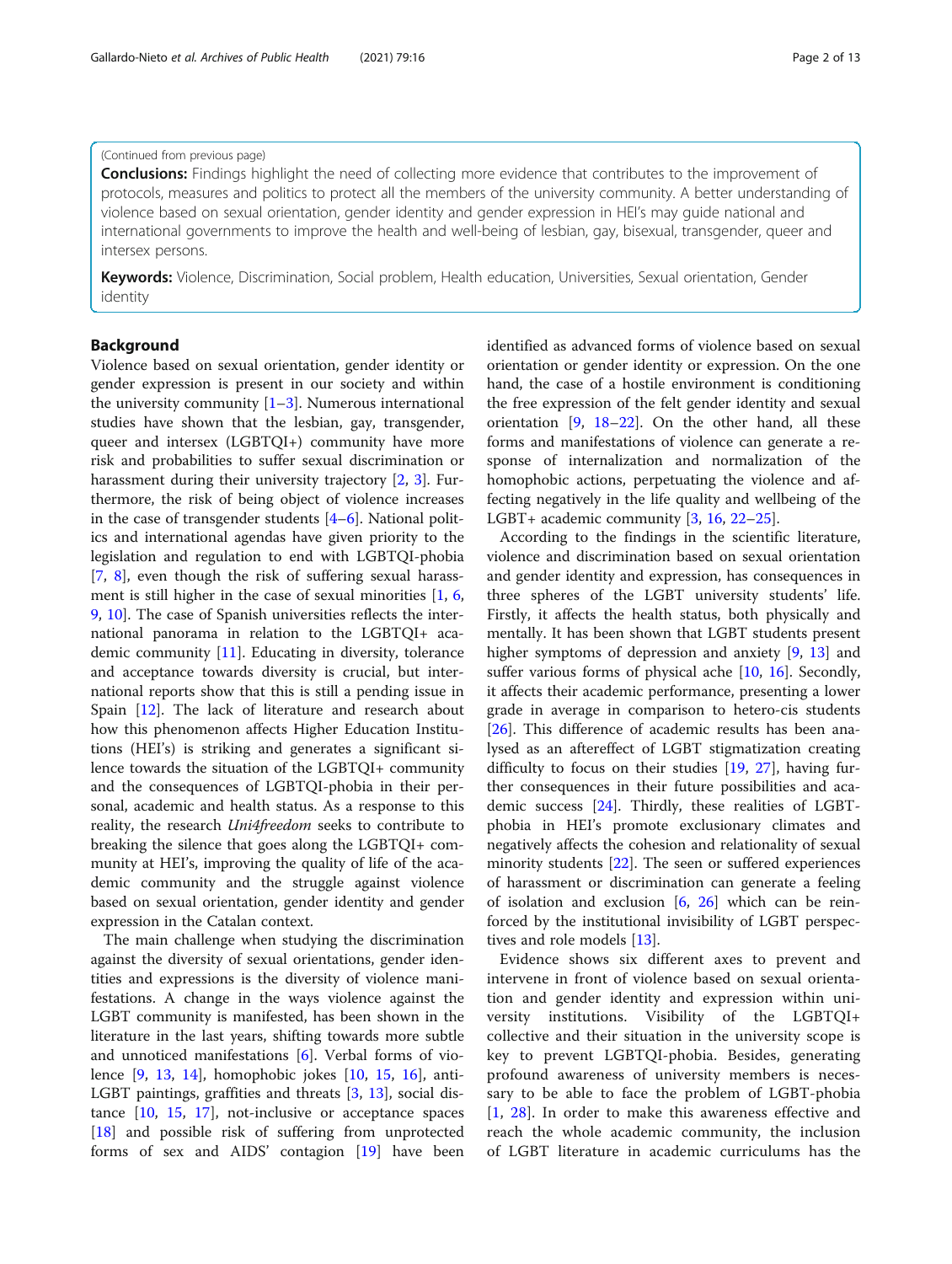#### (Continued from previous page)

**Conclusions:** Findings highlight the need of collecting more evidence that contributes to the improvement of protocols, measures and politics to protect all the members of the university community. A better understanding of violence based on sexual orientation, gender identity and gender expression in HEI's may guide national and international governments to improve the health and well-being of lesbian, gay, bisexual, transgender, queer and intersex persons.

Keywords: Violence, Discrimination, Social problem, Health education, Universities, Sexual orientation, Gender identity

#### Background

Violence based on sexual orientation, gender identity or gender expression is present in our society and within the university community  $[1-3]$  $[1-3]$  $[1-3]$ . Numerous international studies have shown that the lesbian, gay, transgender, queer and intersex (LGBTQI+) community have more risk and probabilities to suffer sexual discrimination or harassment during their university trajectory [[2](#page-11-0), [3](#page-11-0)]. Furthermore, the risk of being object of violence increases in the case of transgender students [\[4](#page-11-0)–[6\]](#page-11-0). National politics and international agendas have given priority to the legislation and regulation to end with LGBTQI-phobia [[7,](#page-11-0) [8](#page-11-0)], even though the risk of suffering sexual harassment is still higher in the case of sexual minorities [\[1](#page-11-0), [6](#page-11-0), [9,](#page-11-0) [10\]](#page-11-0). The case of Spanish universities reflects the international panorama in relation to the LGBTQI+ academic community [[11](#page-11-0)]. Educating in diversity, tolerance and acceptance towards diversity is crucial, but international reports show that this is still a pending issue in Spain [[12\]](#page-11-0). The lack of literature and research about how this phenomenon affects Higher Education Institutions (HEI's) is striking and generates a significant silence towards the situation of the LGBTQI+ community and the consequences of LGBTQI-phobia in their personal, academic and health status. As a response to this reality, the research Uni4freedom seeks to contribute to breaking the silence that goes along the LGBTQI+ community at HEI's, improving the quality of life of the academic community and the struggle against violence based on sexual orientation, gender identity and gender expression in the Catalan context.

The main challenge when studying the discrimination against the diversity of sexual orientations, gender identities and expressions is the diversity of violence manifestations. A change in the ways violence against the LGBT community is manifested, has been shown in the literature in the last years, shifting towards more subtle and unnoticed manifestations [\[6](#page-11-0)]. Verbal forms of violence [[9,](#page-11-0) [13](#page-11-0), [14\]](#page-11-0), homophobic jokes [\[10](#page-11-0), [15,](#page-11-0) [16](#page-12-0)], anti-LGBT paintings, graffities and threats [[3,](#page-11-0) [13](#page-11-0)], social distance [\[10,](#page-11-0) [15](#page-11-0), [17\]](#page-12-0), not-inclusive or acceptance spaces [[18\]](#page-12-0) and possible risk of suffering from unprotected forms of sex and AIDS' contagion [[19\]](#page-12-0) have been identified as advanced forms of violence based on sexual orientation or gender identity or expression. On the one hand, the case of a hostile environment is conditioning the free expression of the felt gender identity and sexual orientation  $[9, 18-22]$  $[9, 18-22]$  $[9, 18-22]$  $[9, 18-22]$  $[9, 18-22]$  $[9, 18-22]$  $[9, 18-22]$ . On the other hand, all these forms and manifestations of violence can generate a response of internalization and normalization of the homophobic actions, perpetuating the violence and affecting negatively in the life quality and wellbeing of the LGBT+ academic community [\[3](#page-11-0), [16](#page-12-0), [22](#page-12-0)–[25\]](#page-12-0).

According to the findings in the scientific literature, violence and discrimination based on sexual orientation and gender identity and expression, has consequences in three spheres of the LGBT university students' life. Firstly, it affects the health status, both physically and mentally. It has been shown that LGBT students present higher symptoms of depression and anxiety [\[9](#page-11-0), [13](#page-11-0)] and suffer various forms of physical ache [\[10](#page-11-0), [16\]](#page-12-0). Secondly, it affects their academic performance, presenting a lower grade in average in comparison to hetero-cis students [[26\]](#page-12-0). This difference of academic results has been analysed as an aftereffect of LGBT stigmatization creating difficulty to focus on their studies [[19](#page-12-0), [27\]](#page-12-0), having further consequences in their future possibilities and academic success [[24\]](#page-12-0). Thirdly, these realities of LGBTphobia in HEI's promote exclusionary climates and negatively affects the cohesion and relationality of sexual minority students [[22\]](#page-12-0). The seen or suffered experiences of harassment or discrimination can generate a feeling of isolation and exclusion [[6,](#page-11-0) [26\]](#page-12-0) which can be reinforced by the institutional invisibility of LGBT perspectives and role models [\[13\]](#page-11-0).

Evidence shows six different axes to prevent and intervene in front of violence based on sexual orientation and gender identity and expression within university institutions. Visibility of the LGBTQI+ collective and their situation in the university scope is key to prevent LGBTQI-phobia. Besides, generating profound awareness of university members is necessary to be able to face the problem of LGBT-phobia [[1](#page-11-0), [28\]](#page-12-0). In order to make this awareness effective and reach the whole academic community, the inclusion of LGBT literature in academic curriculums has the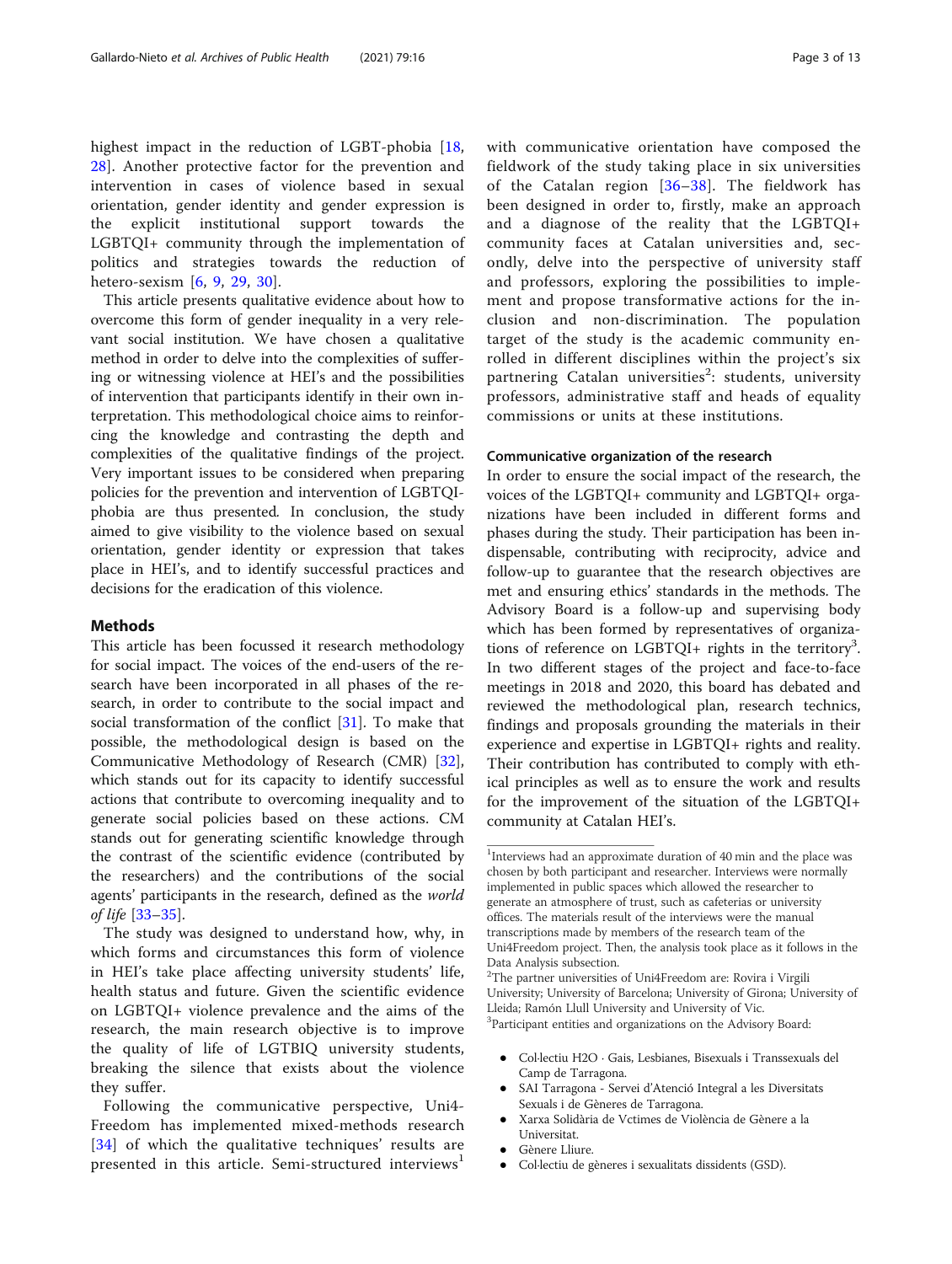highest impact in the reduction of LGBT-phobia [\[18](#page-12-0), [28\]](#page-12-0). Another protective factor for the prevention and intervention in cases of violence based in sexual orientation, gender identity and gender expression is the explicit institutional support towards the LGBTQI+ community through the implementation of politics and strategies towards the reduction of hetero-sexism [\[6](#page-11-0), [9](#page-11-0), [29,](#page-12-0) [30\]](#page-12-0).

This article presents qualitative evidence about how to overcome this form of gender inequality in a very relevant social institution. We have chosen a qualitative method in order to delve into the complexities of suffering or witnessing violence at HEI's and the possibilities of intervention that participants identify in their own interpretation. This methodological choice aims to reinforcing the knowledge and contrasting the depth and complexities of the qualitative findings of the project. Very important issues to be considered when preparing policies for the prevention and intervention of LGBTQIphobia are thus presented. In conclusion, the study aimed to give visibility to the violence based on sexual orientation, gender identity or expression that takes place in HEI's, and to identify successful practices and decisions for the eradication of this violence.

#### **Methods**

This article has been focussed it research methodology for social impact. The voices of the end-users of the research have been incorporated in all phases of the research, in order to contribute to the social impact and social transformation of the conflict [\[31](#page-12-0)]. To make that possible, the methodological design is based on the Communicative Methodology of Research (CMR) [\[32](#page-12-0)], which stands out for its capacity to identify successful actions that contribute to overcoming inequality and to generate social policies based on these actions. CM stands out for generating scientific knowledge through the contrast of the scientific evidence (contributed by the researchers) and the contributions of the social agents' participants in the research, defined as the world of life [\[33](#page-12-0)–[35\]](#page-12-0).

The study was designed to understand how, why, in which forms and circumstances this form of violence in HEI's take place affecting university students' life, health status and future. Given the scientific evidence on LGBTQI+ violence prevalence and the aims of the research, the main research objective is to improve the quality of life of LGTBIQ university students, breaking the silence that exists about the violence they suffer.

Following the communicative perspective, Uni4- Freedom has implemented mixed-methods research [[34](#page-12-0)] of which the qualitative techniques' results are presented in this article. Semi-structured interviews<sup>1</sup>

with communicative orientation have composed the fieldwork of the study taking place in six universities of the Catalan region [[36](#page-12-0)–[38](#page-12-0)]. The fieldwork has been designed in order to, firstly, make an approach and a diagnose of the reality that the LGBTQI+ community faces at Catalan universities and, secondly, delve into the perspective of university staff and professors, exploring the possibilities to implement and propose transformative actions for the inclusion and non-discrimination. The population target of the study is the academic community enrolled in different disciplines within the project's six partnering Catalan universities<sup>2</sup>: students, university professors, administrative staff and heads of equality commissions or units at these institutions.

#### Communicative organization of the research

In order to ensure the social impact of the research, the voices of the LGBTQI+ community and LGBTQI+ organizations have been included in different forms and phases during the study. Their participation has been indispensable, contributing with reciprocity, advice and follow-up to guarantee that the research objectives are met and ensuring ethics' standards in the methods. The Advisory Board is a follow-up and supervising body which has been formed by representatives of organizations of reference on LGBTQI+ rights in the territory<sup>3</sup>. In two different stages of the project and face-to-face meetings in 2018 and 2020, this board has debated and reviewed the methodological plan, research technics, findings and proposals grounding the materials in their experience and expertise in LGBTQI+ rights and reality. Their contribution has contributed to comply with ethical principles as well as to ensure the work and results for the improvement of the situation of the LGBTQI+ community at Catalan HEI's.

 Col·lectiu H2O · Gais, Lesbianes, Bisexuals i Transsexuals del Camp de Tarragona.

- SAI Tarragona Servei d'Atenció Integral a les Diversitats Sexuals i de Gèneres de Tarragona.
- Xarxa Solidària de Vctimes de Violència de Gènere a la Universitat.
- Gènere Lliure.
- Col·lectiu de gèneres i sexualitats dissidents (GSD).

<sup>&</sup>lt;sup>1</sup>Interviews had an approximate duration of 40 min and the place was chosen by both participant and researcher. Interviews were normally implemented in public spaces which allowed the researcher to generate an atmosphere of trust, such as cafeterias or university offices. The materials result of the interviews were the manual transcriptions made by members of the research team of the Uni4Freedom project. Then, the analysis took place as it follows in the Data Analysis subsection.

<sup>&</sup>lt;sup>2</sup>The partner universities of Uni4Freedom are: Rovira i Virgili University; University of Barcelona; University of Girona; University of Lleida; Ramón Llull University and University of Vic. <sup>3</sup>Participant entities and organizations on the Advisory Board: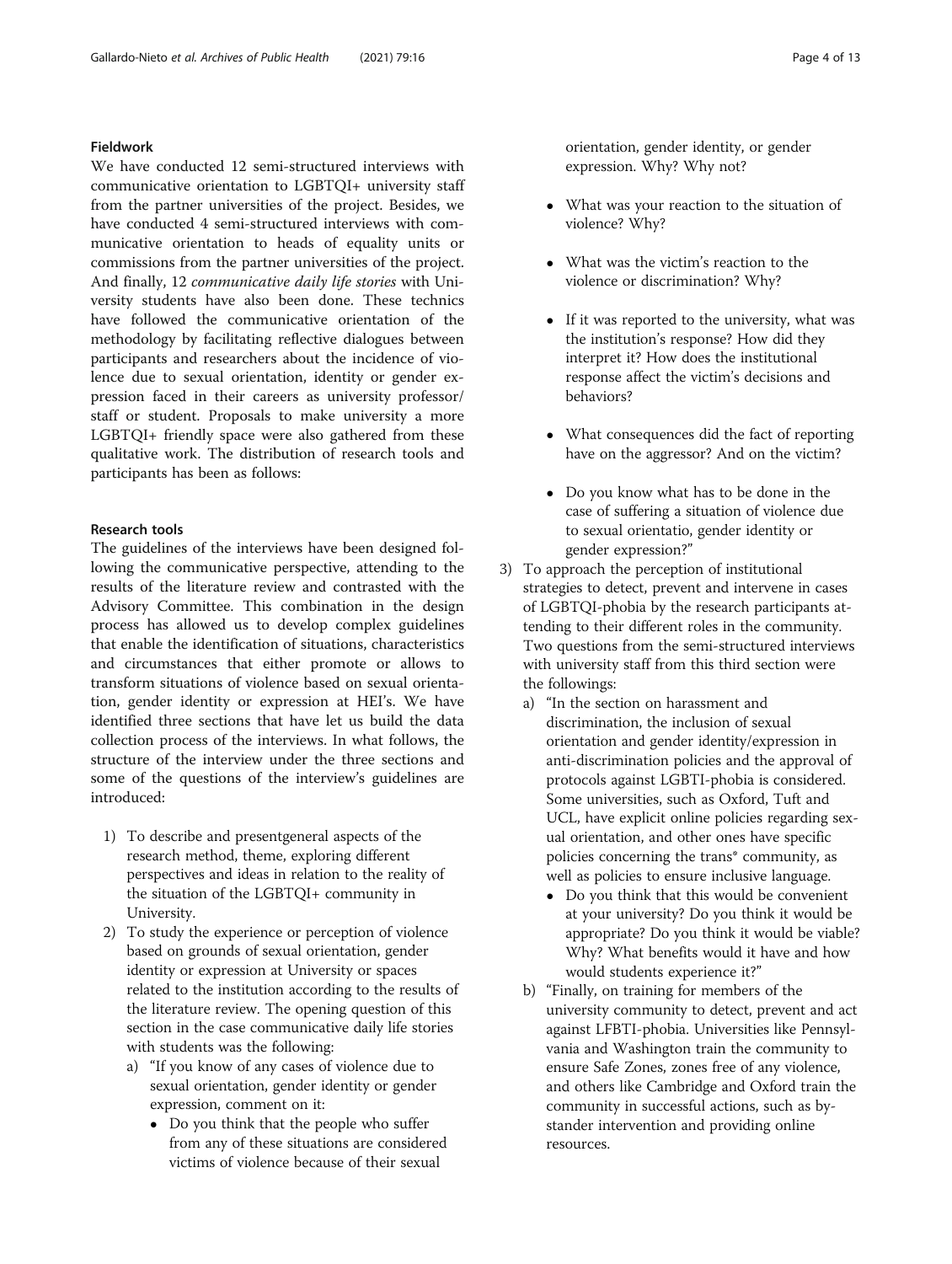#### Fieldwork

We have conducted 12 semi-structured interviews with communicative orientation to LGBTQI+ university staff from the partner universities of the project. Besides, we have conducted 4 semi-structured interviews with communicative orientation to heads of equality units or commissions from the partner universities of the project. And finally, 12 communicative daily life stories with University students have also been done. These technics have followed the communicative orientation of the methodology by facilitating reflective dialogues between participants and researchers about the incidence of violence due to sexual orientation, identity or gender expression faced in their careers as university professor/ staff or student. Proposals to make university a more LGBTQI+ friendly space were also gathered from these qualitative work. The distribution of research tools and participants has been as follows:

#### Research tools

The guidelines of the interviews have been designed following the communicative perspective, attending to the results of the literature review and contrasted with the Advisory Committee. This combination in the design process has allowed us to develop complex guidelines that enable the identification of situations, characteristics and circumstances that either promote or allows to transform situations of violence based on sexual orientation, gender identity or expression at HEI's. We have identified three sections that have let us build the data collection process of the interviews. In what follows, the structure of the interview under the three sections and some of the questions of the interview's guidelines are introduced:

- 1) To describe and presentgeneral aspects of the research method, theme, exploring different perspectives and ideas in relation to the reality of the situation of the LGBTQI+ community in University.
- 2) To study the experience or perception of violence based on grounds of sexual orientation, gender identity or expression at University or spaces related to the institution according to the results of the literature review. The opening question of this section in the case communicative daily life stories with students was the following:
	- a) "If you know of any cases of violence due to sexual orientation, gender identity or gender expression, comment on it:
		- Do you think that the people who suffer from any of these situations are considered victims of violence because of their sexual

orientation, gender identity, or gender expression. Why? Why not?

- What was your reaction to the situation of violence? Why?
- What was the victim's reaction to the violence or discrimination? Why?
- If it was reported to the university, what was the institution's response? How did they interpret it? How does the institutional response affect the victim's decisions and behaviors?
- What consequences did the fact of reporting have on the aggressor? And on the victim?
- Do you know what has to be done in the case of suffering a situation of violence due to sexual orientatio, gender identity or gender expression?"
- 3) To approach the perception of institutional strategies to detect, prevent and intervene in cases of LGBTQI-phobia by the research participants attending to their different roles in the community. Two questions from the semi-structured interviews with university staff from this third section were the followings:
	- a) "In the section on harassment and discrimination, the inclusion of sexual orientation and gender identity/expression in anti-discrimination policies and the approval of protocols against LGBTI-phobia is considered. Some universities, such as Oxford, Tuft and UCL, have explicit online policies regarding sexual orientation, and other ones have specific policies concerning the trans\* community, as well as policies to ensure inclusive language.
		- Do you think that this would be convenient at your university? Do you think it would be appropriate? Do you think it would be viable? Why? What benefits would it have and how would students experience it?"
	- b) "Finally, on training for members of the university community to detect, prevent and act against LFBTI-phobia. Universities like Pennsylvania and Washington train the community to ensure Safe Zones, zones free of any violence, and others like Cambridge and Oxford train the community in successful actions, such as bystander intervention and providing online resources.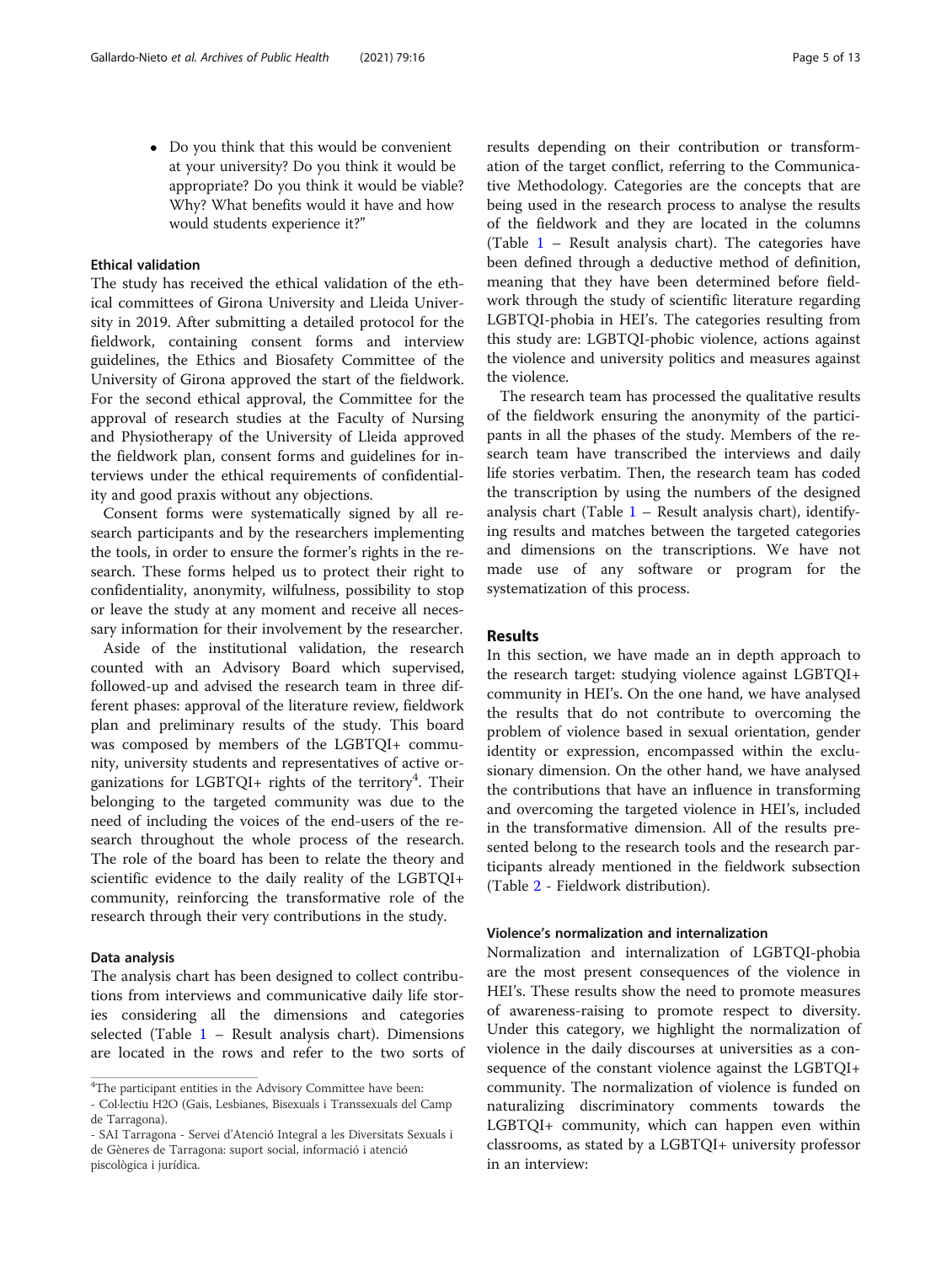Do you think that this would be convenient at your university? Do you think it would be appropriate? Do you think it would be viable? Why? What benefits would it have and how would students experience it?"

#### Ethical validation

The study has received the ethical validation of the ethical committees of Girona University and Lleida University in 2019. After submitting a detailed protocol for the fieldwork, containing consent forms and interview guidelines, the Ethics and Biosafety Committee of the University of Girona approved the start of the fieldwork. For the second ethical approval, the Committee for the approval of research studies at the Faculty of Nursing and Physiotherapy of the University of Lleida approved the fieldwork plan, consent forms and guidelines for interviews under the ethical requirements of confidentiality and good praxis without any objections.

Consent forms were systematically signed by all research participants and by the researchers implementing the tools, in order to ensure the former's rights in the research. These forms helped us to protect their right to confidentiality, anonymity, wilfulness, possibility to stop or leave the study at any moment and receive all necessary information for their involvement by the researcher.

Aside of the institutional validation, the research counted with an Advisory Board which supervised, followed-up and advised the research team in three different phases: approval of the literature review, fieldwork plan and preliminary results of the study. This board was composed by members of the LGBTQI+ community, university students and representatives of active organizations for LGBTQI+ rights of the territory<sup>4</sup>. Their belonging to the targeted community was due to the need of including the voices of the end-users of the research throughout the whole process of the research. The role of the board has been to relate the theory and scientific evidence to the daily reality of the LGBTQI+ community, reinforcing the transformative role of the research through their very contributions in the study.

#### Data analysis

The analysis chart has been designed to collect contributions from interviews and communicative daily life stories considering all the dimensions and categories selected (Table  $1$  – Result analysis chart). Dimensions are located in the rows and refer to the two sorts of

results depending on their contribution or transformation of the target conflict, referring to the Communicative Methodology. Categories are the concepts that are being used in the research process to analyse the results of the fieldwork and they are located in the columns (Table [1](#page-5-0) – Result analysis chart). The categories have been defined through a deductive method of definition, meaning that they have been determined before fieldwork through the study of scientific literature regarding LGBTQI-phobia in HEI's. The categories resulting from this study are: LGBTQI-phobic violence, actions against the violence and university politics and measures against the violence.

The research team has processed the qualitative results of the fieldwork ensuring the anonymity of the participants in all the phases of the study. Members of the research team have transcribed the interviews and daily life stories verbatim. Then, the research team has coded the transcription by using the numbers of the designed analysis chart (Table  $1$  – Result analysis chart), identifying results and matches between the targeted categories and dimensions on the transcriptions. We have not made use of any software or program for the systematization of this process.

#### Results

In this section, we have made an in depth approach to the research target: studying violence against LGBTQI+ community in HEI's. On the one hand, we have analysed the results that do not contribute to overcoming the problem of violence based in sexual orientation, gender identity or expression, encompassed within the exclusionary dimension. On the other hand, we have analysed the contributions that have an influence in transforming and overcoming the targeted violence in HEI's, included in the transformative dimension. All of the results presented belong to the research tools and the research participants already mentioned in the fieldwork subsection (Table [2](#page-6-0) - Fieldwork distribution).

#### Violence's normalization and internalization

Normalization and internalization of LGBTQI-phobia are the most present consequences of the violence in HEI's. These results show the need to promote measures of awareness-raising to promote respect to diversity. Under this category, we highlight the normalization of violence in the daily discourses at universities as a consequence of the constant violence against the LGBTQI+ community. The normalization of violence is funded on naturalizing discriminatory comments towards the LGBTQI+ community, which can happen even within classrooms, as stated by a LGBTQI+ university professor in an interview:

<sup>&</sup>lt;sup>4</sup>The participant entities in the Advisory Committee have been:

<sup>-</sup> Col·lectiu H2O (Gais, Lesbianes, Bisexuals i Transsexuals del Camp de Tarragona).

<sup>-</sup> SAI Tarragona - Servei d'Atenció Integral a les Diversitats Sexuals i de Gèneres de Tarragona: suport social, informació i atenció piscològica i jurídica.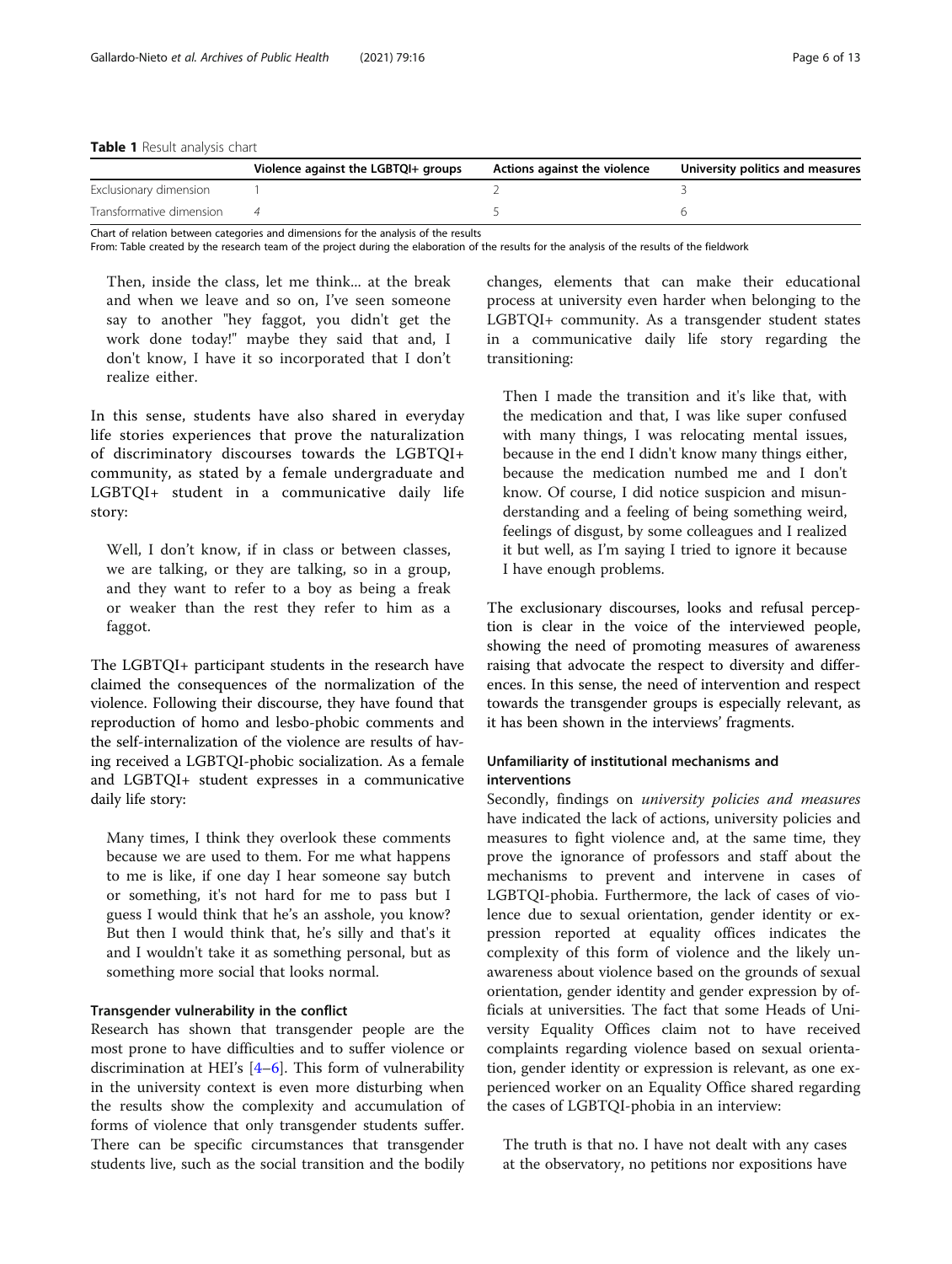#### <span id="page-5-0"></span>Table 1 Result analysis chart

|                          | Violence against the LGBTQI+ groups | Actions against the violence | University politics and measures |
|--------------------------|-------------------------------------|------------------------------|----------------------------------|
| Exclusionary dimension   |                                     |                              |                                  |
| Transformative dimension |                                     |                              |                                  |

Chart of relation between categories and dimensions for the analysis of the results

From: Table created by the research team of the project during the elaboration of the results for the analysis of the results of the fieldwork

Then, inside the class, let me think... at the break and when we leave and so on, I've seen someone say to another "hey faggot, you didn't get the work done today!" maybe they said that and, I don't know, I have it so incorporated that I don't realize either.

In this sense, students have also shared in everyday life stories experiences that prove the naturalization of discriminatory discourses towards the LGBTQI+ community, as stated by a female undergraduate and LGBTQI+ student in a communicative daily life story:

Well, I don't know, if in class or between classes, we are talking, or they are talking, so in a group, and they want to refer to a boy as being a freak or weaker than the rest they refer to him as a faggot.

The LGBTQI+ participant students in the research have claimed the consequences of the normalization of the violence. Following their discourse, they have found that reproduction of homo and lesbo-phobic comments and the self-internalization of the violence are results of having received a LGBTQI-phobic socialization. As a female and LGBTQI+ student expresses in a communicative daily life story:

Many times, I think they overlook these comments because we are used to them. For me what happens to me is like, if one day I hear someone say butch or something, it's not hard for me to pass but I guess I would think that he's an asshole, you know? But then I would think that, he's silly and that's it and I wouldn't take it as something personal, but as something more social that looks normal.

#### Transgender vulnerability in the conflict

Research has shown that transgender people are the most prone to have difficulties and to suffer violence or discrimination at HEI's  $[4-6]$  $[4-6]$  $[4-6]$  $[4-6]$ . This form of vulnerability in the university context is even more disturbing when the results show the complexity and accumulation of forms of violence that only transgender students suffer. There can be specific circumstances that transgender students live, such as the social transition and the bodily

changes, elements that can make their educational process at university even harder when belonging to the LGBTQI+ community. As a transgender student states in a communicative daily life story regarding the transitioning:

Then I made the transition and it's like that, with the medication and that, I was like super confused with many things, I was relocating mental issues, because in the end I didn't know many things either, because the medication numbed me and I don't know. Of course, I did notice suspicion and misunderstanding and a feeling of being something weird, feelings of disgust, by some colleagues and I realized it but well, as I'm saying I tried to ignore it because I have enough problems.

The exclusionary discourses, looks and refusal perception is clear in the voice of the interviewed people, showing the need of promoting measures of awareness raising that advocate the respect to diversity and differences. In this sense, the need of intervention and respect towards the transgender groups is especially relevant, as it has been shown in the interviews' fragments.

#### Unfamiliarity of institutional mechanisms and interventions

Secondly, findings on university policies and measures have indicated the lack of actions, university policies and measures to fight violence and, at the same time, they prove the ignorance of professors and staff about the mechanisms to prevent and intervene in cases of LGBTQI-phobia. Furthermore, the lack of cases of violence due to sexual orientation, gender identity or expression reported at equality offices indicates the complexity of this form of violence and the likely unawareness about violence based on the grounds of sexual orientation, gender identity and gender expression by officials at universities. The fact that some Heads of University Equality Offices claim not to have received complaints regarding violence based on sexual orientation, gender identity or expression is relevant, as one experienced worker on an Equality Office shared regarding the cases of LGBTQI-phobia in an interview:

The truth is that no. I have not dealt with any cases at the observatory, no petitions nor expositions have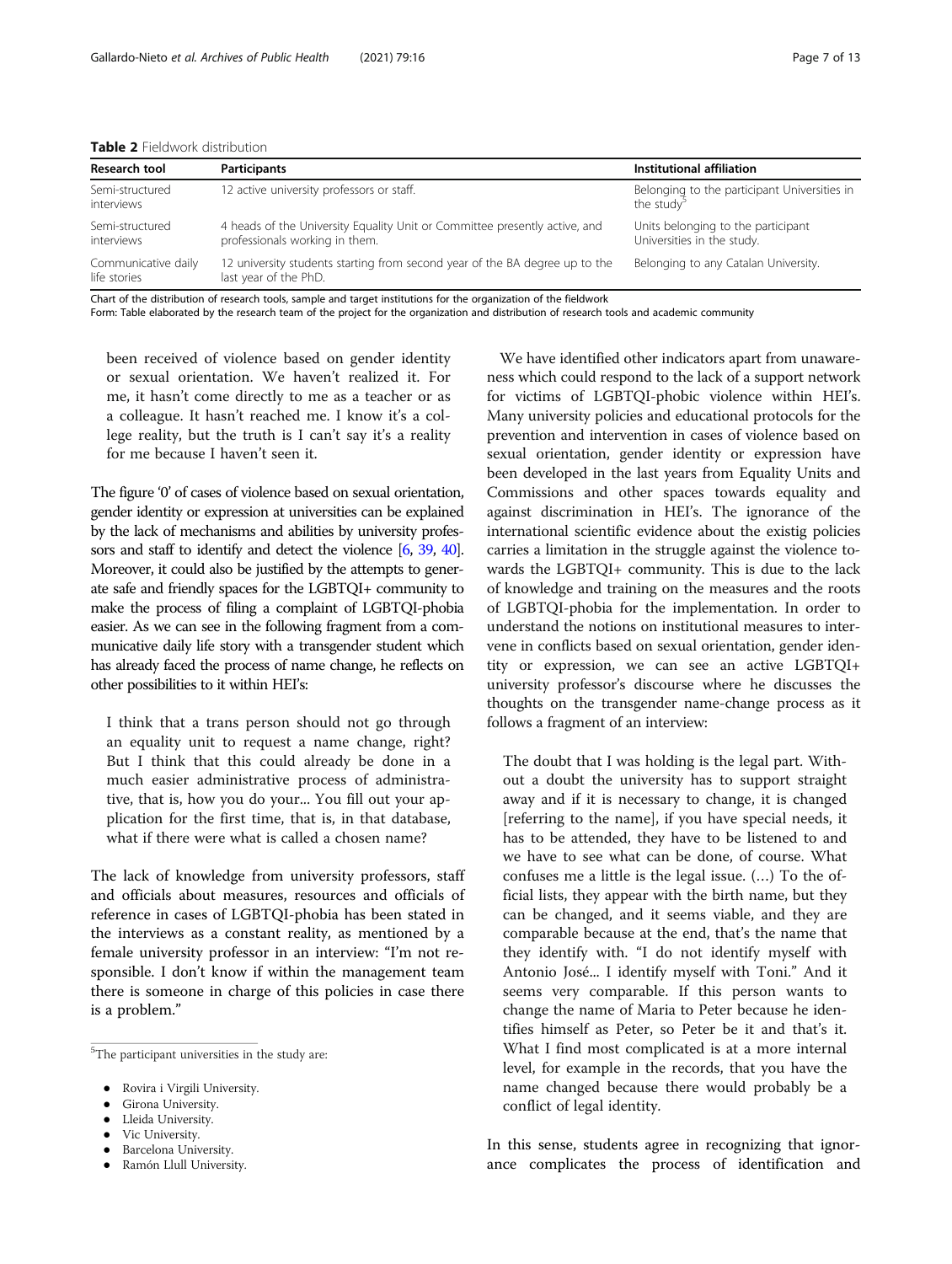<span id="page-6-0"></span>Table 2 Fieldwork distribution

| Research tool                       | <b>Participants</b>                                                                                          | Institutional affiliation                                              |
|-------------------------------------|--------------------------------------------------------------------------------------------------------------|------------------------------------------------------------------------|
| Semi-structured<br>interviews       | 12 active university professors or staff.                                                                    | Belonging to the participant Universities in<br>the study <sup>5</sup> |
| Semi-structured<br>interviews       | 4 heads of the University Equality Unit or Committee presently active, and<br>professionals working in them. | Units belonging to the participant<br>Universities in the study.       |
| Communicative daily<br>life stories | 12 university students starting from second year of the BA degree up to the<br>last year of the PhD.         | Belonging to any Catalan University.                                   |

Chart of the distribution of research tools, sample and target institutions for the organization of the fieldwork

Form: Table elaborated by the research team of the project for the organization and distribution of research tools and academic community

been received of violence based on gender identity or sexual orientation. We haven't realized it. For me, it hasn't come directly to me as a teacher or as a colleague. It hasn't reached me. I know it's a college reality, but the truth is I can't say it's a reality for me because I haven't seen it.

The figure '0' of cases of violence based on sexual orientation, gender identity or expression at universities can be explained by the lack of mechanisms and abilities by university professors and staff to identify and detect the violence [\[6](#page-11-0), [39,](#page-12-0) [40\]](#page-12-0). Moreover, it could also be justified by the attempts to generate safe and friendly spaces for the LGBTQI+ community to make the process of filing a complaint of LGBTQI-phobia easier. As we can see in the following fragment from a communicative daily life story with a transgender student which has already faced the process of name change, he reflects on other possibilities to it within HEI's:

I think that a trans person should not go through an equality unit to request a name change, right? But I think that this could already be done in a much easier administrative process of administrative, that is, how you do your... You fill out your application for the first time, that is, in that database, what if there were what is called a chosen name?

The lack of knowledge from university professors, staff and officials about measures, resources and officials of reference in cases of LGBTQI-phobia has been stated in the interviews as a constant reality, as mentioned by a female university professor in an interview: "I'm not responsible. I don't know if within the management team there is someone in charge of this policies in case there is a problem."

- Girona University.
- Lleida University.
- Vic University.
- **Barcelona University.**
- Ramón Llull University.

We have identified other indicators apart from unawareness which could respond to the lack of a support network for victims of LGBTQI-phobic violence within HEI's. Many university policies and educational protocols for the prevention and intervention in cases of violence based on sexual orientation, gender identity or expression have been developed in the last years from Equality Units and Commissions and other spaces towards equality and against discrimination in HEI's. The ignorance of the international scientific evidence about the existig policies carries a limitation in the struggle against the violence towards the LGBTQI+ community. This is due to the lack of knowledge and training on the measures and the roots of LGBTQI-phobia for the implementation. In order to understand the notions on institutional measures to intervene in conflicts based on sexual orientation, gender identity or expression, we can see an active LGBTQI+ university professor's discourse where he discusses the thoughts on the transgender name-change process as it follows a fragment of an interview:

The doubt that I was holding is the legal part. Without a doubt the university has to support straight away and if it is necessary to change, it is changed [referring to the name], if you have special needs, it has to be attended, they have to be listened to and we have to see what can be done, of course. What confuses me a little is the legal issue. (…) To the official lists, they appear with the birth name, but they can be changed, and it seems viable, and they are comparable because at the end, that's the name that they identify with. "I do not identify myself with Antonio José... I identify myself with Toni." And it seems very comparable. If this person wants to change the name of Maria to Peter because he identifies himself as Peter, so Peter be it and that's it. What I find most complicated is at a more internal level, for example in the records, that you have the name changed because there would probably be a conflict of legal identity.

In this sense, students agree in recognizing that ignorance complicates the process of identification and

<sup>&</sup>lt;sup>5</sup>The participant universities in the study are:

Rovira i Virgili University.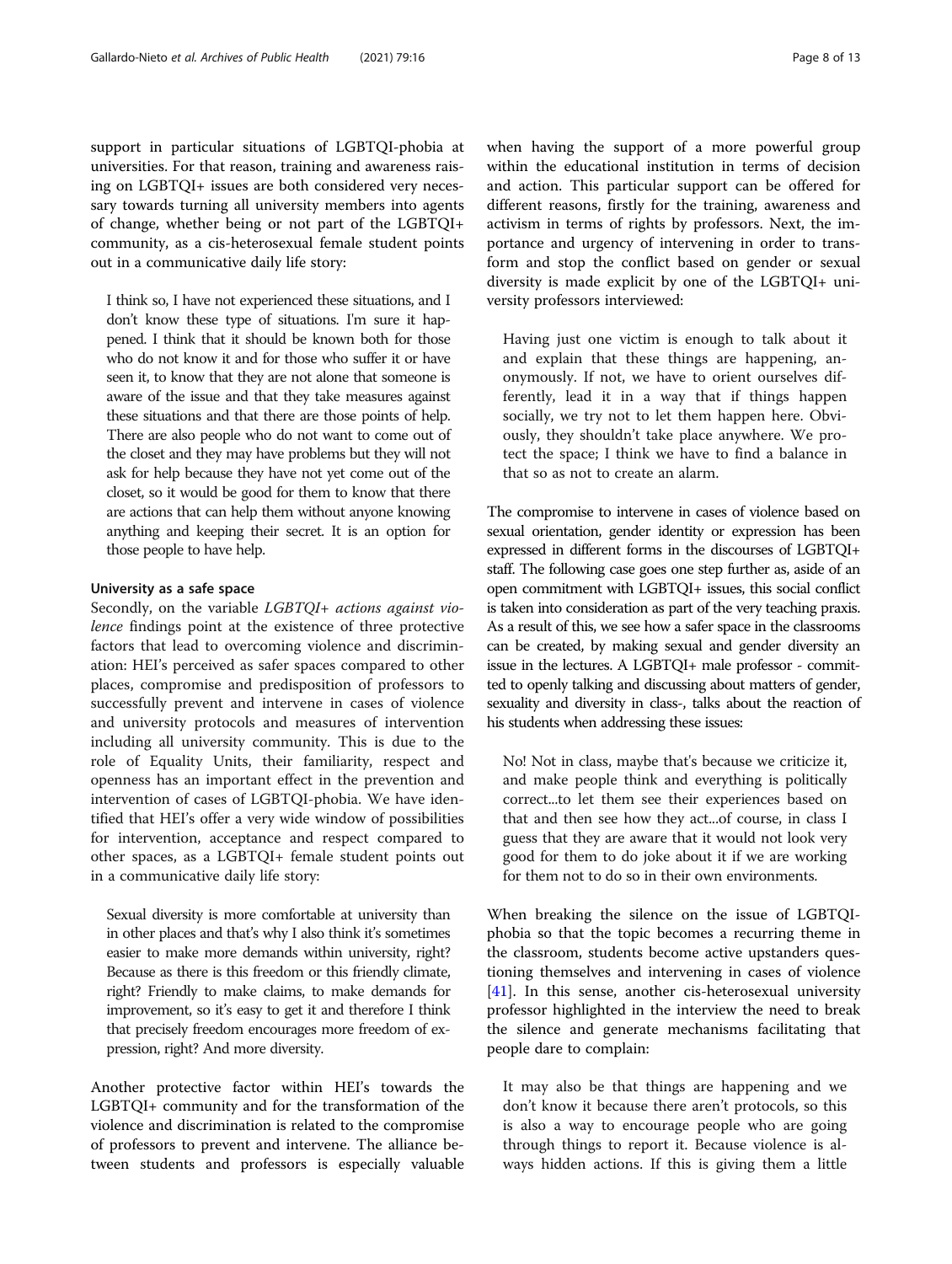support in particular situations of LGBTQI-phobia at universities. For that reason, training and awareness raising on LGBTQI+ issues are both considered very necessary towards turning all university members into agents of change, whether being or not part of the LGBTQI+ community, as a cis-heterosexual female student points out in a communicative daily life story:

I think so, I have not experienced these situations, and I don't know these type of situations. I'm sure it happened. I think that it should be known both for those who do not know it and for those who suffer it or have seen it, to know that they are not alone that someone is aware of the issue and that they take measures against these situations and that there are those points of help. There are also people who do not want to come out of the closet and they may have problems but they will not ask for help because they have not yet come out of the closet, so it would be good for them to know that there are actions that can help them without anyone knowing anything and keeping their secret. It is an option for those people to have help.

#### University as a safe space

Secondly, on the variable LGBTQI+ actions against violence findings point at the existence of three protective factors that lead to overcoming violence and discrimination: HEI's perceived as safer spaces compared to other places, compromise and predisposition of professors to successfully prevent and intervene in cases of violence and university protocols and measures of intervention including all university community. This is due to the role of Equality Units, their familiarity, respect and openness has an important effect in the prevention and intervention of cases of LGBTQI-phobia. We have identified that HEI's offer a very wide window of possibilities for intervention, acceptance and respect compared to other spaces, as a LGBTQI+ female student points out in a communicative daily life story:

Sexual diversity is more comfortable at university than in other places and that's why I also think it's sometimes easier to make more demands within university, right? Because as there is this freedom or this friendly climate, right? Friendly to make claims, to make demands for improvement, so it's easy to get it and therefore I think that precisely freedom encourages more freedom of expression, right? And more diversity.

Another protective factor within HEI's towards the LGBTQI+ community and for the transformation of the violence and discrimination is related to the compromise of professors to prevent and intervene. The alliance between students and professors is especially valuable when having the support of a more powerful group within the educational institution in terms of decision and action. This particular support can be offered for different reasons, firstly for the training, awareness and activism in terms of rights by professors. Next, the importance and urgency of intervening in order to transform and stop the conflict based on gender or sexual diversity is made explicit by one of the LGBTQI+ university professors interviewed:

Having just one victim is enough to talk about it and explain that these things are happening, anonymously. If not, we have to orient ourselves differently, lead it in a way that if things happen socially, we try not to let them happen here. Obviously, they shouldn't take place anywhere. We protect the space; I think we have to find a balance in that so as not to create an alarm.

The compromise to intervene in cases of violence based on sexual orientation, gender identity or expression has been expressed in different forms in the discourses of LGBTQI+ staff. The following case goes one step further as, aside of an open commitment with LGBTQI+ issues, this social conflict is taken into consideration as part of the very teaching praxis. As a result of this, we see how a safer space in the classrooms can be created, by making sexual and gender diversity an issue in the lectures. A LGBTQI+ male professor - committed to openly talking and discussing about matters of gender, sexuality and diversity in class-, talks about the reaction of his students when addressing these issues:

No! Not in class, maybe that's because we criticize it, and make people think and everything is politically correct...to let them see their experiences based on that and then see how they act...of course, in class I guess that they are aware that it would not look very good for them to do joke about it if we are working for them not to do so in their own environments.

When breaking the silence on the issue of LGBTQIphobia so that the topic becomes a recurring theme in the classroom, students become active upstanders questioning themselves and intervening in cases of violence  $[41]$  $[41]$ . In this sense, another cis-heterosexual university professor highlighted in the interview the need to break the silence and generate mechanisms facilitating that people dare to complain:

It may also be that things are happening and we don't know it because there aren't protocols, so this is also a way to encourage people who are going through things to report it. Because violence is always hidden actions. If this is giving them a little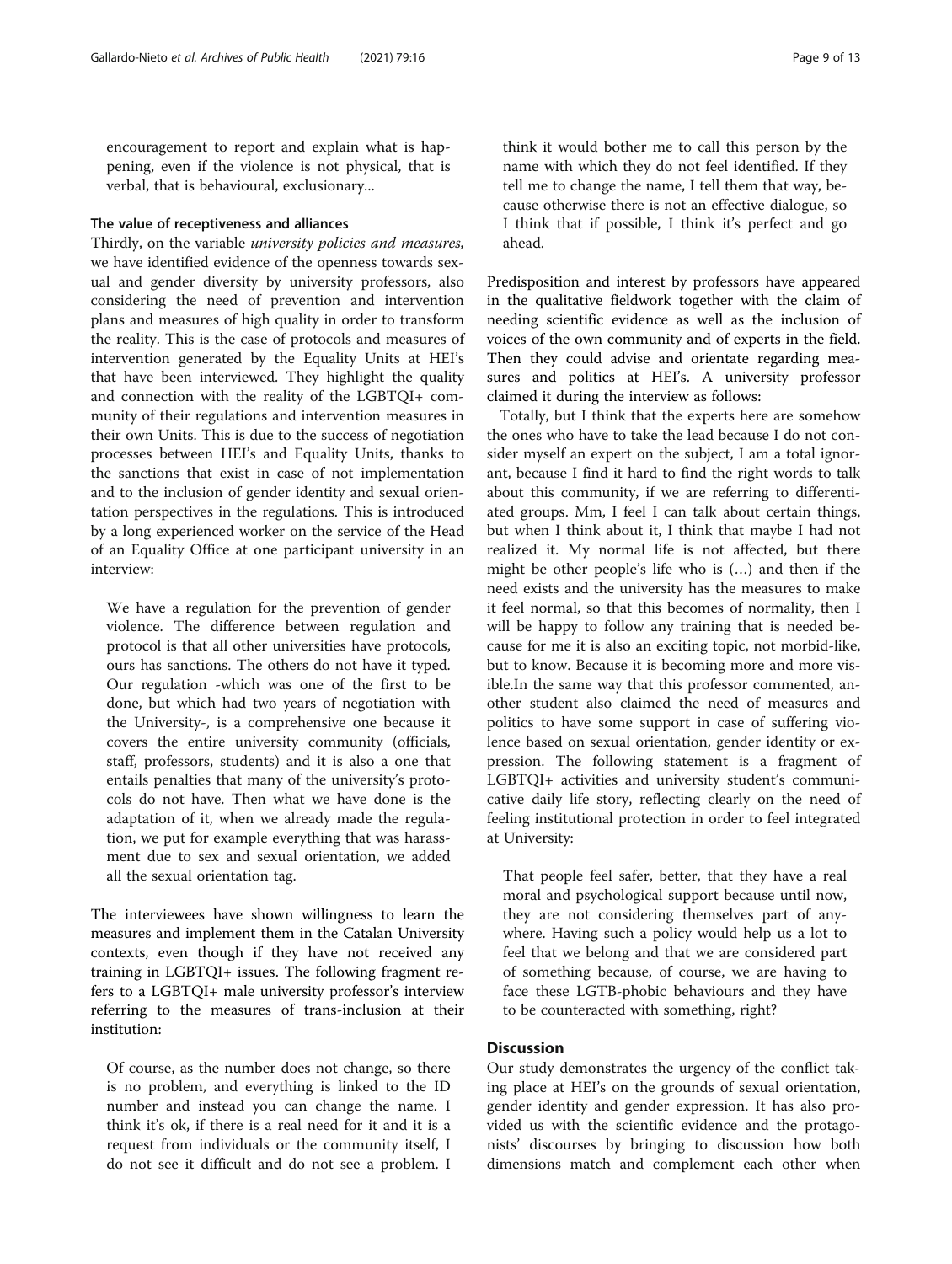encouragement to report and explain what is happening, even if the violence is not physical, that is verbal, that is behavioural, exclusionary...

#### The value of receptiveness and alliances

Thirdly, on the variable university policies and measures, we have identified evidence of the openness towards sexual and gender diversity by university professors, also considering the need of prevention and intervention plans and measures of high quality in order to transform the reality. This is the case of protocols and measures of intervention generated by the Equality Units at HEI's that have been interviewed. They highlight the quality and connection with the reality of the LGBTQI+ community of their regulations and intervention measures in their own Units. This is due to the success of negotiation processes between HEI's and Equality Units, thanks to the sanctions that exist in case of not implementation and to the inclusion of gender identity and sexual orientation perspectives in the regulations. This is introduced by a long experienced worker on the service of the Head of an Equality Office at one participant university in an interview:

We have a regulation for the prevention of gender violence. The difference between regulation and protocol is that all other universities have protocols, ours has sanctions. The others do not have it typed. Our regulation -which was one of the first to be done, but which had two years of negotiation with the University-, is a comprehensive one because it covers the entire university community (officials, staff, professors, students) and it is also a one that entails penalties that many of the university's protocols do not have. Then what we have done is the adaptation of it, when we already made the regulation, we put for example everything that was harassment due to sex and sexual orientation, we added all the sexual orientation tag.

The interviewees have shown willingness to learn the measures and implement them in the Catalan University contexts, even though if they have not received any training in LGBTQI+ issues. The following fragment refers to a LGBTQI+ male university professor's interview referring to the measures of trans-inclusion at their institution:

Of course, as the number does not change, so there is no problem, and everything is linked to the ID number and instead you can change the name. I think it's ok, if there is a real need for it and it is a request from individuals or the community itself, I do not see it difficult and do not see a problem. I think it would bother me to call this person by the name with which they do not feel identified. If they tell me to change the name, I tell them that way, because otherwise there is not an effective dialogue, so I think that if possible, I think it's perfect and go ahead.

Predisposition and interest by professors have appeared in the qualitative fieldwork together with the claim of needing scientific evidence as well as the inclusion of voices of the own community and of experts in the field. Then they could advise and orientate regarding measures and politics at HEI's. A university professor claimed it during the interview as follows:

Totally, but I think that the experts here are somehow the ones who have to take the lead because I do not consider myself an expert on the subject, I am a total ignorant, because I find it hard to find the right words to talk about this community, if we are referring to differentiated groups. Mm, I feel I can talk about certain things, but when I think about it, I think that maybe I had not realized it. My normal life is not affected, but there might be other people's life who is (…) and then if the need exists and the university has the measures to make it feel normal, so that this becomes of normality, then I will be happy to follow any training that is needed because for me it is also an exciting topic, not morbid-like, but to know. Because it is becoming more and more visible.In the same way that this professor commented, another student also claimed the need of measures and politics to have some support in case of suffering violence based on sexual orientation, gender identity or expression. The following statement is a fragment of LGBTQI+ activities and university student's communicative daily life story, reflecting clearly on the need of feeling institutional protection in order to feel integrated at University:

That people feel safer, better, that they have a real moral and psychological support because until now, they are not considering themselves part of anywhere. Having such a policy would help us a lot to feel that we belong and that we are considered part of something because, of course, we are having to face these LGTB-phobic behaviours and they have to be counteracted with something, right?

#### **Discussion**

Our study demonstrates the urgency of the conflict taking place at HEI's on the grounds of sexual orientation, gender identity and gender expression. It has also provided us with the scientific evidence and the protagonists' discourses by bringing to discussion how both dimensions match and complement each other when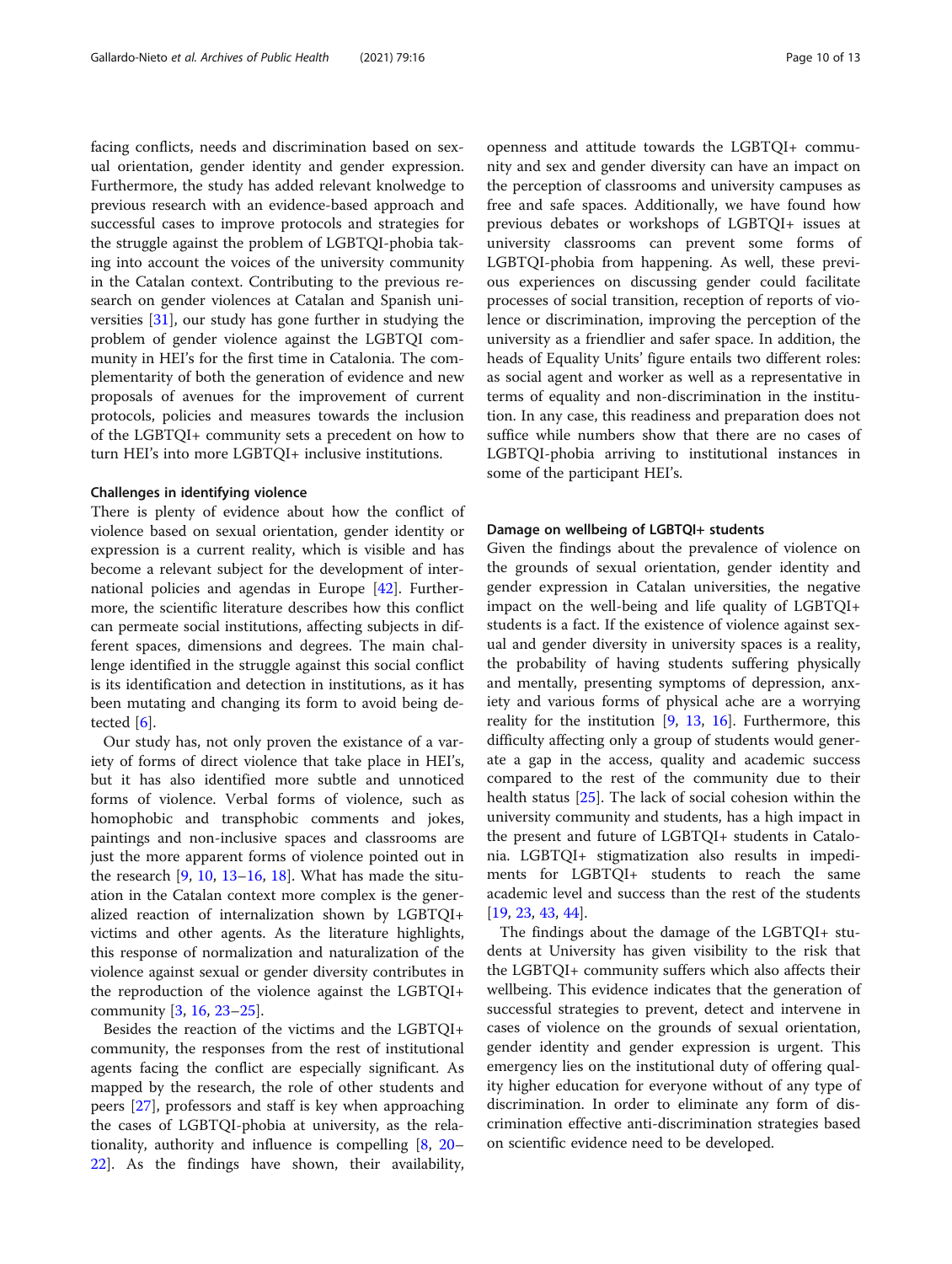facing conflicts, needs and discrimination based on sexual orientation, gender identity and gender expression. Furthermore, the study has added relevant knolwedge to previous research with an evidence-based approach and successful cases to improve protocols and strategies for the struggle against the problem of LGBTQI-phobia taking into account the voices of the university community in the Catalan context. Contributing to the previous research on gender violences at Catalan and Spanish universities [[31\]](#page-12-0), our study has gone further in studying the problem of gender violence against the LGBTQI community in HEI's for the first time in Catalonia. The complementarity of both the generation of evidence and new proposals of avenues for the improvement of current protocols, policies and measures towards the inclusion of the LGBTQI+ community sets a precedent on how to turn HEI's into more LGBTQI+ inclusive institutions.

#### Challenges in identifying violence

There is plenty of evidence about how the conflict of violence based on sexual orientation, gender identity or expression is a current reality, which is visible and has become a relevant subject for the development of international policies and agendas in Europe [\[42](#page-12-0)]. Furthermore, the scientific literature describes how this conflict can permeate social institutions, affecting subjects in different spaces, dimensions and degrees. The main challenge identified in the struggle against this social conflict is its identification and detection in institutions, as it has been mutating and changing its form to avoid being detected  $[6]$  $[6]$  $[6]$ .

Our study has, not only proven the existance of a variety of forms of direct violence that take place in HEI's, but it has also identified more subtle and unnoticed forms of violence. Verbal forms of violence, such as homophobic and transphobic comments and jokes, paintings and non-inclusive spaces and classrooms are just the more apparent forms of violence pointed out in the research  $[9, 10, 13–16, 18]$  $[9, 10, 13–16, 18]$  $[9, 10, 13–16, 18]$  $[9, 10, 13–16, 18]$  $[9, 10, 13–16, 18]$  $[9, 10, 13–16, 18]$  $[9, 10, 13–16, 18]$  $[9, 10, 13–16, 18]$  $[9, 10, 13–16, 18]$  $[9, 10, 13–16, 18]$ . What has made the situation in the Catalan context more complex is the generalized reaction of internalization shown by LGBTQI+ victims and other agents. As the literature highlights, this response of normalization and naturalization of the violence against sexual or gender diversity contributes in the reproduction of the violence against the LGBTQI+ community [[3](#page-11-0), [16](#page-12-0), [23](#page-12-0)–[25\]](#page-12-0).

Besides the reaction of the victims and the LGBTQI+ community, the responses from the rest of institutional agents facing the conflict are especially significant. As mapped by the research, the role of other students and peers [[27\]](#page-12-0), professors and staff is key when approaching the cases of LGBTQI-phobia at university, as the relationality, authority and influence is compelling [\[8](#page-11-0), [20](#page-12-0)– [22\]](#page-12-0). As the findings have shown, their availability,

openness and attitude towards the LGBTQI+ community and sex and gender diversity can have an impact on the perception of classrooms and university campuses as free and safe spaces. Additionally, we have found how previous debates or workshops of LGBTQI+ issues at university classrooms can prevent some forms of LGBTQI-phobia from happening. As well, these previous experiences on discussing gender could facilitate processes of social transition, reception of reports of violence or discrimination, improving the perception of the university as a friendlier and safer space. In addition, the heads of Equality Units' figure entails two different roles: as social agent and worker as well as a representative in terms of equality and non-discrimination in the institution. In any case, this readiness and preparation does not suffice while numbers show that there are no cases of LGBTQI-phobia arriving to institutional instances in some of the participant HEI's.

#### Damage on wellbeing of LGBTQI+ students

Given the findings about the prevalence of violence on the grounds of sexual orientation, gender identity and gender expression in Catalan universities, the negative impact on the well-being and life quality of LGBTQI+ students is a fact. If the existence of violence against sexual and gender diversity in university spaces is a reality, the probability of having students suffering physically and mentally, presenting symptoms of depression, anxiety and various forms of physical ache are a worrying reality for the institution [[9,](#page-11-0) [13,](#page-11-0) [16](#page-12-0)]. Furthermore, this difficulty affecting only a group of students would generate a gap in the access, quality and academic success compared to the rest of the community due to their health status [\[25\]](#page-12-0). The lack of social cohesion within the university community and students, has a high impact in the present and future of LGBTQI+ students in Catalonia. LGBTQI+ stigmatization also results in impediments for LGBTQI+ students to reach the same academic level and success than the rest of the students [[19,](#page-12-0) [23,](#page-12-0) [43,](#page-12-0) [44](#page-12-0)].

The findings about the damage of the LGBTQI+ students at University has given visibility to the risk that the LGBTQI+ community suffers which also affects their wellbeing. This evidence indicates that the generation of successful strategies to prevent, detect and intervene in cases of violence on the grounds of sexual orientation, gender identity and gender expression is urgent. This emergency lies on the institutional duty of offering quality higher education for everyone without of any type of discrimination. In order to eliminate any form of discrimination effective anti-discrimination strategies based on scientific evidence need to be developed.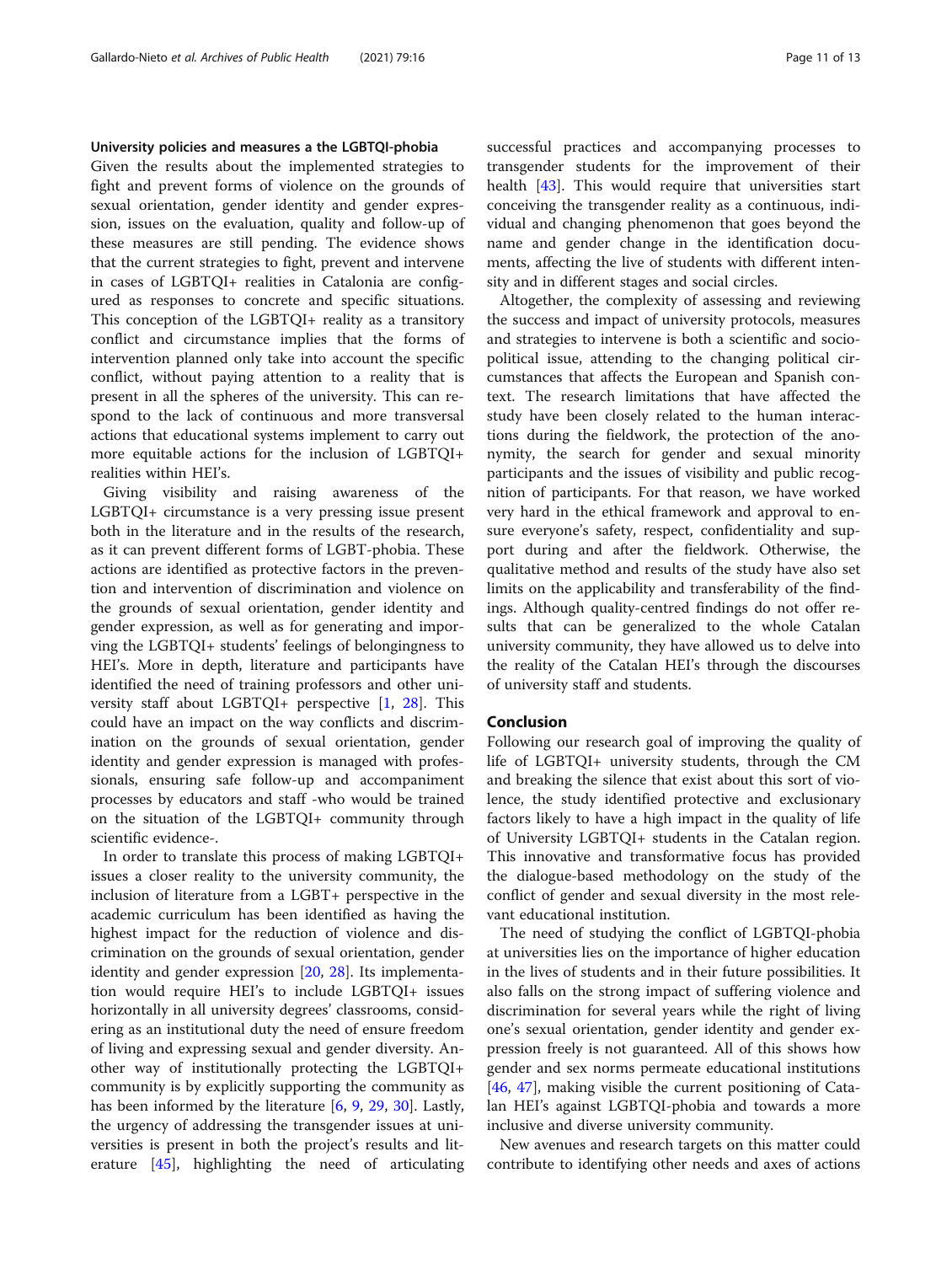#### University policies and measures a the LGBTQI-phobia

Given the results about the implemented strategies to fight and prevent forms of violence on the grounds of sexual orientation, gender identity and gender expression, issues on the evaluation, quality and follow-up of these measures are still pending. The evidence shows that the current strategies to fight, prevent and intervene in cases of LGBTQI+ realities in Catalonia are configured as responses to concrete and specific situations. This conception of the LGBTQI+ reality as a transitory conflict and circumstance implies that the forms of intervention planned only take into account the specific conflict, without paying attention to a reality that is present in all the spheres of the university. This can respond to the lack of continuous and more transversal actions that educational systems implement to carry out more equitable actions for the inclusion of LGBTQI+ realities within HEI's.

Giving visibility and raising awareness of the LGBTQI+ circumstance is a very pressing issue present both in the literature and in the results of the research, as it can prevent different forms of LGBT-phobia. These actions are identified as protective factors in the prevention and intervention of discrimination and violence on the grounds of sexual orientation, gender identity and gender expression, as well as for generating and imporving the LGBTQI+ students' feelings of belongingness to HEI's. More in depth, literature and participants have identified the need of training professors and other university staff about LGBTQI+ perspective [[1,](#page-11-0) [28\]](#page-12-0). This could have an impact on the way conflicts and discrimination on the grounds of sexual orientation, gender identity and gender expression is managed with professionals, ensuring safe follow-up and accompaniment processes by educators and staff -who would be trained on the situation of the LGBTQI+ community through scientific evidence-.

In order to translate this process of making LGBTQI+ issues a closer reality to the university community, the inclusion of literature from a LGBT+ perspective in the academic curriculum has been identified as having the highest impact for the reduction of violence and discrimination on the grounds of sexual orientation, gender identity and gender expression [[20,](#page-12-0) [28\]](#page-12-0). Its implementation would require HEI's to include LGBTQI+ issues horizontally in all university degrees' classrooms, considering as an institutional duty the need of ensure freedom of living and expressing sexual and gender diversity. Another way of institutionally protecting the LGBTQI+ community is by explicitly supporting the community as has been informed by the literature [[6,](#page-11-0) [9](#page-11-0), [29,](#page-12-0) [30\]](#page-12-0). Lastly, the urgency of addressing the transgender issues at universities is present in both the project's results and literature [\[45](#page-12-0)], highlighting the need of articulating successful practices and accompanying processes to transgender students for the improvement of their health [\[43](#page-12-0)]. This would require that universities start conceiving the transgender reality as a continuous, individual and changing phenomenon that goes beyond the name and gender change in the identification documents, affecting the live of students with different intensity and in different stages and social circles.

Altogether, the complexity of assessing and reviewing the success and impact of university protocols, measures and strategies to intervene is both a scientific and sociopolitical issue, attending to the changing political circumstances that affects the European and Spanish context. The research limitations that have affected the study have been closely related to the human interactions during the fieldwork, the protection of the anonymity, the search for gender and sexual minority participants and the issues of visibility and public recognition of participants. For that reason, we have worked very hard in the ethical framework and approval to ensure everyone's safety, respect, confidentiality and support during and after the fieldwork. Otherwise, the qualitative method and results of the study have also set limits on the applicability and transferability of the findings. Although quality-centred findings do not offer results that can be generalized to the whole Catalan university community, they have allowed us to delve into the reality of the Catalan HEI's through the discourses of university staff and students.

#### Conclusion

Following our research goal of improving the quality of life of LGBTQI+ university students, through the CM and breaking the silence that exist about this sort of violence, the study identified protective and exclusionary factors likely to have a high impact in the quality of life of University LGBTQI+ students in the Catalan region. This innovative and transformative focus has provided the dialogue-based methodology on the study of the conflict of gender and sexual diversity in the most relevant educational institution.

The need of studying the conflict of LGBTQI-phobia at universities lies on the importance of higher education in the lives of students and in their future possibilities. It also falls on the strong impact of suffering violence and discrimination for several years while the right of living one's sexual orientation, gender identity and gender expression freely is not guaranteed. All of this shows how gender and sex norms permeate educational institutions [[46,](#page-12-0) [47](#page-12-0)], making visible the current positioning of Catalan HEI's against LGBTQI-phobia and towards a more inclusive and diverse university community.

New avenues and research targets on this matter could contribute to identifying other needs and axes of actions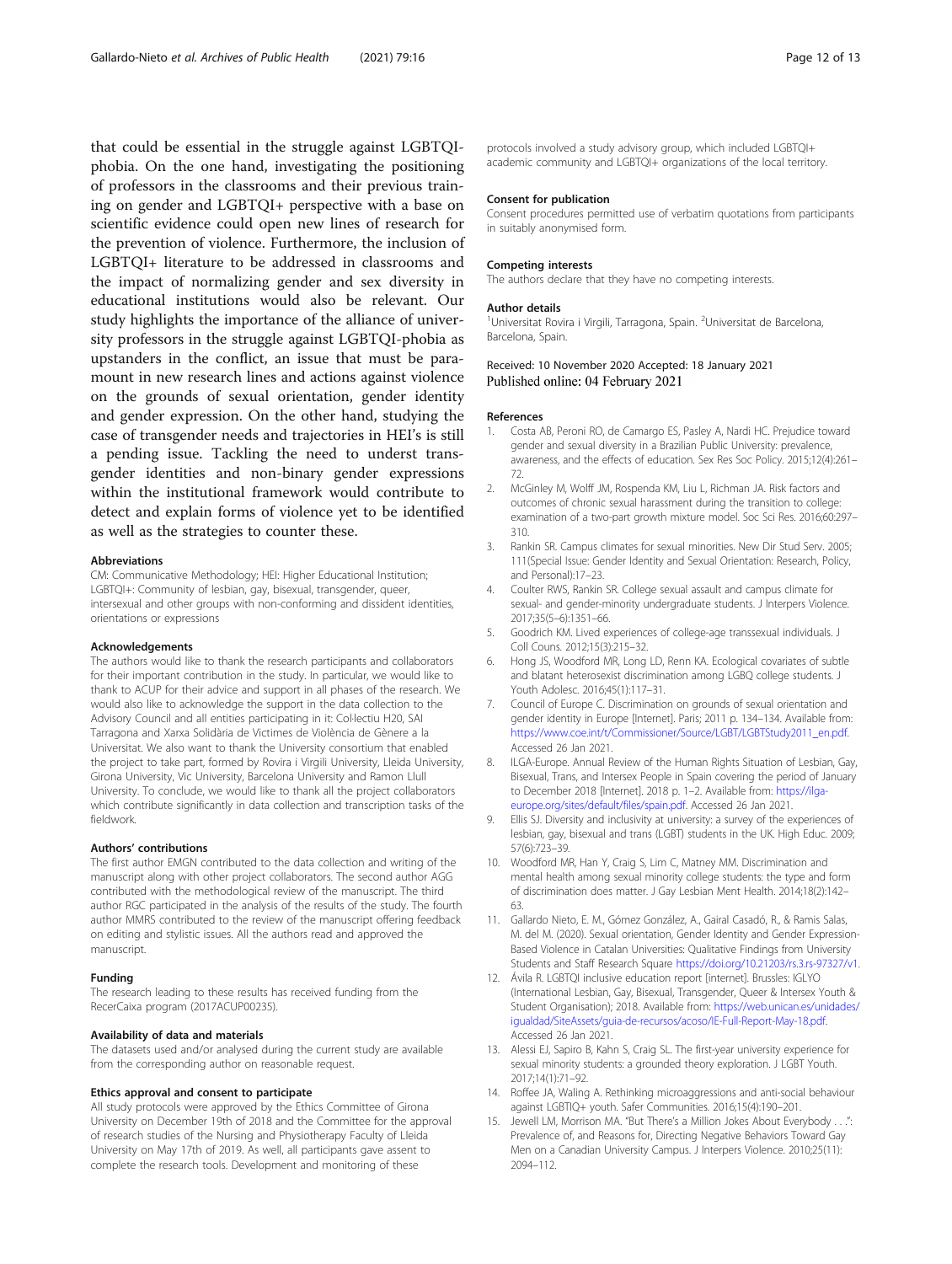<span id="page-11-0"></span>that could be essential in the struggle against LGBTQIphobia. On the one hand, investigating the positioning of professors in the classrooms and their previous training on gender and LGBTQI+ perspective with a base on scientific evidence could open new lines of research for the prevention of violence. Furthermore, the inclusion of LGBTQI+ literature to be addressed in classrooms and the impact of normalizing gender and sex diversity in educational institutions would also be relevant. Our study highlights the importance of the alliance of university professors in the struggle against LGBTQI-phobia as upstanders in the conflict, an issue that must be paramount in new research lines and actions against violence on the grounds of sexual orientation, gender identity and gender expression. On the other hand, studying the case of transgender needs and trajectories in HEI's is still a pending issue. Tackling the need to underst transgender identities and non-binary gender expressions within the institutional framework would contribute to detect and explain forms of violence yet to be identified as well as the strategies to counter these.

#### Abbreviations

CM: Communicative Methodology; HEI: Higher Educational Institution; LGBTQI+: Community of lesbian, gay, bisexual, transgender, queer, intersexual and other groups with non-conforming and dissident identities, orientations or expressions

#### Acknowledgements

The authors would like to thank the research participants and collaborators for their important contribution in the study. In particular, we would like to thank to ACUP for their advice and support in all phases of the research. We would also like to acknowledge the support in the data collection to the Advisory Council and all entities participating in it: Col·lectiu H20, SAI Tarragona and Xarxa Solidària de Victimes de Violència de Gènere a la Universitat. We also want to thank the University consortium that enabled the project to take part, formed by Rovira i Virgili University, Lleida University, Girona University, Vic University, Barcelona University and Ramon Llull University. To conclude, we would like to thank all the project collaborators which contribute significantly in data collection and transcription tasks of the fieldwork.

#### Authors' contributions

The first author EMGN contributed to the data collection and writing of the manuscript along with other project collaborators. The second author AGG contributed with the methodological review of the manuscript. The third author RGC participated in the analysis of the results of the study. The fourth author MMRS contributed to the review of the manuscript offering feedback on editing and stylistic issues. All the authors read and approved the manuscript.

#### Funding

The research leading to these results has received funding from the RecerCaixa program (2017ACUP00235).

#### Availability of data and materials

The datasets used and/or analysed during the current study are available from the corresponding author on reasonable request.

#### Ethics approval and consent to participate

All study protocols were approved by the Ethics Committee of Girona University on December 19th of 2018 and the Committee for the approval of research studies of the Nursing and Physiotherapy Faculty of Lleida University on May 17th of 2019. As well, all participants gave assent to complete the research tools. Development and monitoring of these

protocols involved a study advisory group, which included LGBTQI+ academic community and LGBTQI+ organizations of the local territory.

#### Consent for publication

Consent procedures permitted use of verbatim quotations from participants in suitably anonymised form.

#### Competing interests

The authors declare that they have no competing interests.

#### Author details

<sup>1</sup>Universitat Rovira i Virgili, Tarragona, Spain. <sup>2</sup>Universitat de Barcelona, Barcelona, Spain.

#### Received: 10 November 2020 Accepted: 18 January 2021 Published online: 04 February 2021

#### References

- 1. Costa AB, Peroni RO, de Camargo ES, Pasley A, Nardi HC. Prejudice toward gender and sexual diversity in a Brazilian Public University: prevalence, awareness, and the effects of education. Sex Res Soc Policy. 2015;12(4):261– 72.
- 2. McGinley M, Wolff JM, Rospenda KM, Liu L, Richman JA. Risk factors and outcomes of chronic sexual harassment during the transition to college: examination of a two-part growth mixture model. Soc Sci Res. 2016;60:297– 310.
- 3. Rankin SR. Campus climates for sexual minorities. New Dir Stud Serv. 2005; 111(Special Issue: Gender Identity and Sexual Orientation: Research, Policy, and Personal):17–23.
- 4. Coulter RWS, Rankin SR. College sexual assault and campus climate for sexual- and gender-minority undergraduate students. J Interpers Violence. 2017;35(5–6):1351–66.
- 5. Goodrich KM. Lived experiences of college-age transsexual individuals. J Coll Couns. 2012;15(3):215–32.
- Hong JS, Woodford MR, Long LD, Renn KA. Ecological covariates of subtle and blatant heterosexist discrimination among LGBQ college students. J Youth Adolesc. 2016;45(1):117–31.
- 7. Council of Europe C. Discrimination on grounds of sexual orientation and gender identity in Europe [Internet]. Paris; 2011 p. 134–134. Available from: [https://www.coe.int/t/Commissioner/Source/LGBT/LGBTStudy2011\\_en.pdf](https://www.coe.int/t/Commissioner/Source/LGBT/LGBTStudy2011_en.pdf). Accessed 26 Jan 2021.
- 8. ILGA-Europe. Annual Review of the Human Rights Situation of Lesbian, Gay, Bisexual, Trans, and Intersex People in Spain covering the period of January to December 2018 [Internet]. 2018 p. 1-2. Available from: [https://ilga](https://ilga-europe.org/sites/default/files/spain.pdf)[europe.org/sites/default/files/spain.pdf](https://ilga-europe.org/sites/default/files/spain.pdf). Accessed 26 Jan 2021.
- 9. Ellis SJ. Diversity and inclusivity at university: a survey of the experiences of lesbian, gay, bisexual and trans (LGBT) students in the UK. High Educ. 2009; 57(6):723–39.
- 10. Woodford MR, Han Y, Craig S, Lim C, Matney MM. Discrimination and mental health among sexual minority college students: the type and form of discrimination does matter. J Gay Lesbian Ment Health. 2014;18(2):142– 63.
- 11. Gallardo Nieto, E. M., Gómez González, A., Gairal Casadó, R., & Ramis Salas, M. del M. (2020). Sexual orientation, Gender Identity and Gender Expression-Based Violence in Catalan Universities: Qualitative Findings from University Students and Staff Research Square <https://doi.org/10.21203/rs.3.rs-97327/v1>.
- 12. Ávila R. LGBTQI inclusive education report [internet]. Brussles: IGLYO (International Lesbian, Gay, Bisexual, Transgender, Queer & Intersex Youth & Student Organisation); 2018. Available from: [https://web.unican.es/unidades/](https://web.unican.es/unidades/igualdad/SiteAssets/guia-de-recursos/acoso/IE-Full-Report-May-18.pdf) [igualdad/SiteAssets/guia-de-recursos/acoso/IE-Full-Report-May-18.pdf.](https://web.unican.es/unidades/igualdad/SiteAssets/guia-de-recursos/acoso/IE-Full-Report-May-18.pdf) Accessed 26 Jan 2021.
- 13. Alessi EJ, Sapiro B, Kahn S, Craig SL. The first-year university experience for sexual minority students: a grounded theory exploration. J LGBT Youth. 2017;14(1):71–92.
- 14. Roffee JA, Waling A. Rethinking microaggressions and anti-social behaviour against LGBTIQ+ youth. Safer Communities. 2016;15(4):190–201.
- 15. Jewell LM, Morrison MA. "But There's a Million Jokes About Everybody . . .": Prevalence of, and Reasons for, Directing Negative Behaviors Toward Gay Men on a Canadian University Campus. J Interpers Violence. 2010;25(11): 2094–112.